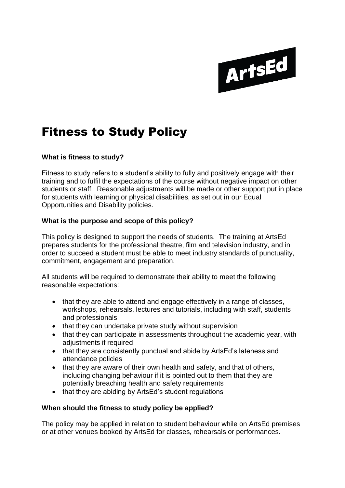

# Fitness to Study Policy

### **What is fitness to study?**

Fitness to study refers to a student's ability to fully and positively engage with their training and to fulfil the expectations of the course without negative impact on other students or staff. Reasonable adjustments will be made or other support put in place for students with learning or physical disabilities, as set out in our Equal Opportunities and Disability policies.

### **What is the purpose and scope of this policy?**

This policy is designed to support the needs of students. The training at ArtsEd prepares students for the professional theatre, film and television industry, and in order to succeed a student must be able to meet industry standards of punctuality, commitment, engagement and preparation.

All students will be required to demonstrate their ability to meet the following reasonable expectations:

- that they are able to attend and engage effectively in a range of classes. workshops, rehearsals, lectures and tutorials, including with staff, students and professionals
- that they can undertake private study without supervision
- that they can participate in assessments throughout the academic year, with adjustments if required
- that they are consistently punctual and abide by ArtsEd's lateness and attendance policies
- that they are aware of their own health and safety, and that of others, including changing behaviour if it is pointed out to them that they are potentially breaching health and safety requirements
- that they are abiding by ArtsEd's student regulations

#### **When should the fitness to study policy be applied?**

The policy may be applied in relation to student behaviour while on ArtsEd premises or at other venues booked by ArtsEd for classes, rehearsals or performances.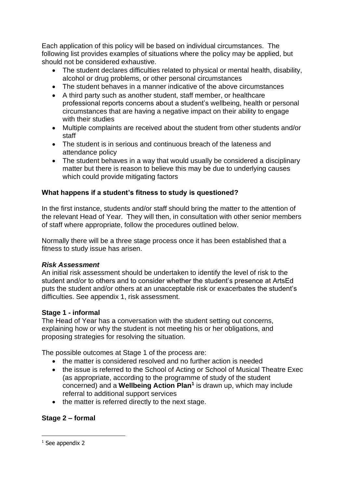Each application of this policy will be based on individual circumstances. The following list provides examples of situations where the policy may be applied, but should not be considered exhaustive.

- The student declares difficulties related to physical or mental health, disability, alcohol or drug problems, or other personal circumstances
- The student behaves in a manner indicative of the above circumstances
- A third party such as another student, staff member, or healthcare professional reports concerns about a student's wellbeing, health or personal circumstances that are having a negative impact on their ability to engage with their studies
- Multiple complaints are received about the student from other students and/or staff
- The student is in serious and continuous breach of the lateness and attendance policy
- The student behaves in a way that would usually be considered a disciplinary matter but there is reason to believe this may be due to underlying causes which could provide mitigating factors

# **What happens if a student's fitness to study is questioned?**

In the first instance, students and/or staff should bring the matter to the attention of the relevant Head of Year. They will then, in consultation with other senior members of staff where appropriate, follow the procedures outlined below.

Normally there will be a three stage process once it has been established that a fitness to study issue has arisen.

## *Risk Assessment*

An initial risk assessment should be undertaken to identify the level of risk to the student and/or to others and to consider whether the student's presence at ArtsEd puts the student and/or others at an unacceptable risk or exacerbates the student's difficulties. See appendix 1, risk assessment.

## **Stage 1 - informal**

The Head of Year has a conversation with the student setting out concerns, explaining how or why the student is not meeting his or her obligations, and proposing strategies for resolving the situation.

The possible outcomes at Stage 1 of the process are:

- the matter is considered resolved and no further action is needed
- the issue is referred to the School of Acting or School of Musical Theatre Exec (as appropriate, according to the programme of study of the student concerned) and a **Wellbeing Action Plan<sup>1</sup>** is drawn up, which may include referral to additional support services
- the matter is referred directly to the next stage.

# **Stage 2 – formal**

 $<sup>1</sup>$  See appendix 2</sup>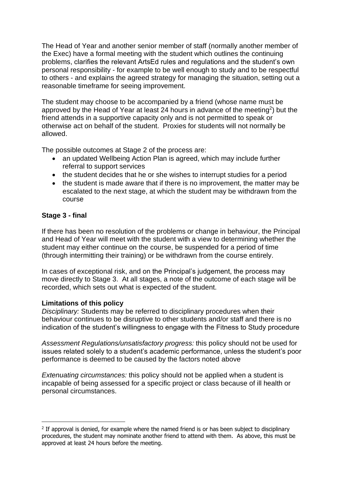The Head of Year and another senior member of staff (normally another member of the Exec) have a formal meeting with the student which outlines the continuing problems, clarifies the relevant ArtsEd rules and regulations and the student's own personal responsibility - for example to be well enough to study and to be respectful to others - and explains the agreed strategy for managing the situation, setting out a reasonable timeframe for seeing improvement.

The student may choose to be accompanied by a friend (whose name must be approved by the Head of Year at least 24 hours in advance of the meeting<sup>2</sup>) but the friend attends in a supportive capacity only and is not permitted to speak or otherwise act on behalf of the student. Proxies for students will not normally be allowed.

The possible outcomes at Stage 2 of the process are:

- an updated Wellbeing Action Plan is agreed, which may include further referral to support services
- the student decides that he or she wishes to interrupt studies for a period
- the student is made aware that if there is no improvement, the matter may be escalated to the next stage, at which the student may be withdrawn from the course

# **Stage 3 - final**

If there has been no resolution of the problems or change in behaviour, the Principal and Head of Year will meet with the student with a view to determining whether the student may either continue on the course, be suspended for a period of time (through intermitting their training) or be withdrawn from the course entirely.

In cases of exceptional risk, and on the Principal's judgement, the process may move directly to Stage 3. At all stages, a note of the outcome of each stage will be recorded, which sets out what is expected of the student.

## **Limitations of this policy**

*Disciplinary:* Students may be referred to disciplinary procedures when their behaviour continues to be disruptive to other students and/or staff and there is no indication of the student's willingness to engage with the Fitness to Study procedure

*Assessment Regulations/unsatisfactory progress:* this policy should not be used for issues related solely to a student's academic performance, unless the student's poor performance is deemed to be caused by the factors noted above

*Extenuating circumstances:* this policy should not be applied when a student is incapable of being assessed for a specific project or class because of ill health or personal circumstances.

 $2$  If approval is denied, for example where the named friend is or has been subject to disciplinary procedures, the student may nominate another friend to attend with them. As above, this must be approved at least 24 hours before the meeting.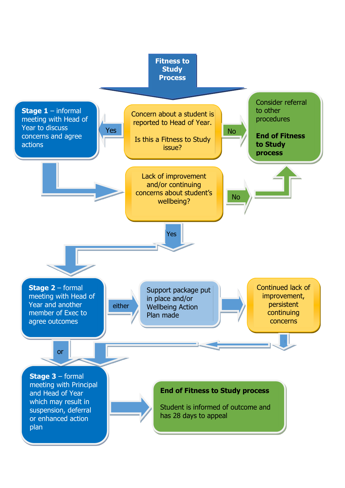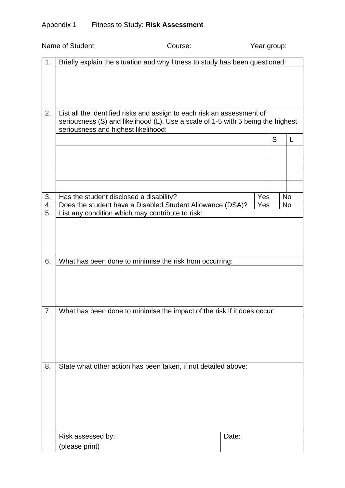|    | Name of Student:<br>Course:                                                                                                                               |       | Year group: |   |           |  |  |
|----|-----------------------------------------------------------------------------------------------------------------------------------------------------------|-------|-------------|---|-----------|--|--|
| 1. | Briefly explain the situation and why fitness to study has been questioned:                                                                               |       |             |   |           |  |  |
| 2. | List all the identified risks and assign to each risk an assessment of<br>seriousness (S) and likelihood (L). Use a scale of 1-5 with 5 being the highest |       |             |   |           |  |  |
|    | seriousness and highest likelihood:                                                                                                                       |       |             | S | L         |  |  |
|    |                                                                                                                                                           |       |             |   |           |  |  |
|    |                                                                                                                                                           |       |             |   |           |  |  |
|    |                                                                                                                                                           |       |             |   |           |  |  |
|    |                                                                                                                                                           |       |             |   |           |  |  |
|    |                                                                                                                                                           |       |             |   |           |  |  |
| 3. | Has the student disclosed a disability?                                                                                                                   |       | Yes         |   | <b>No</b> |  |  |
| 4. | Does the student have a Disabled Student Allowance (DSA)?                                                                                                 |       | Yes         |   | No        |  |  |
| 5. | List any condition which may contribute to risk:                                                                                                          |       |             |   |           |  |  |
| 6. | What has been done to minimise the risk from occurring:                                                                                                   |       |             |   |           |  |  |
| 7. | What has been done to minimise the impact of the risk if it does occur:                                                                                   |       |             |   |           |  |  |
|    |                                                                                                                                                           |       |             |   |           |  |  |
| 8. | State what other action has been taken, if not detailed above:                                                                                            |       |             |   |           |  |  |
|    |                                                                                                                                                           |       |             |   |           |  |  |
|    | Risk assessed by:                                                                                                                                         | Date: |             |   |           |  |  |
|    | (please print)                                                                                                                                            |       |             |   |           |  |  |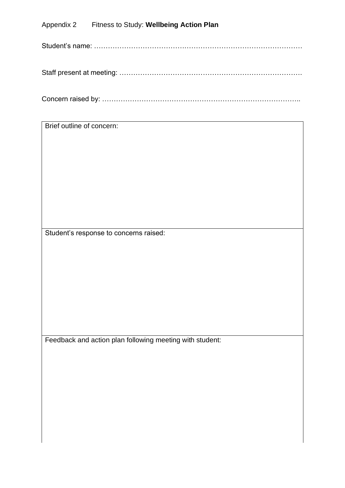# Appendix 2 Fitness to Study: **Wellbeing Action Plan**

Student's name: ………………………………………………………………………………

|--|--|

Concern raised by: …………………………………………………………………………..

Brief outline of concern:

Student's response to concerns raised:

Feedback and action plan following meeting with student: